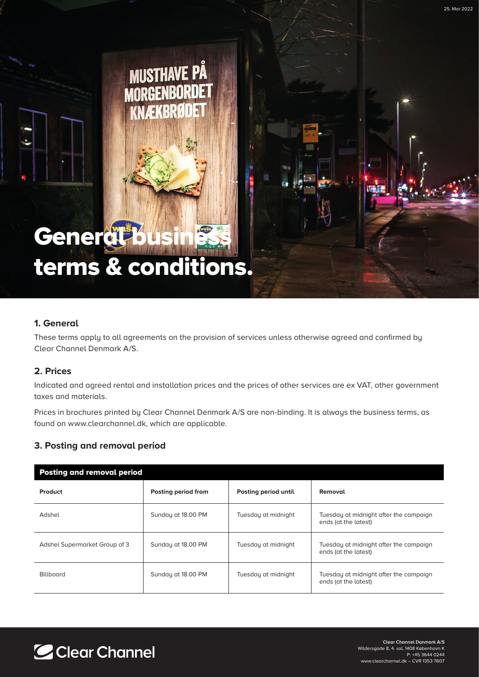# terms & conditions.

## **1. General**

These terms apply to all agreements on the provision of services unless otherwise agreed and confirmed by Clear Channel Denmark A/S.

#### **2. Prices**

Indicated and agreed rental and installation prices and the prices of other services are ex VAT, other government taxes and materials.

Prices in brochures printed by Clear Channel Denmark A/S are non-binding. It is always the business terms, as found on www.clearchannel.dk, which are applicable.

### **3. Posting and removal period**

Gener<mark>al b</mark>usiness

| <b>Posting and removal period</b> |                     |                      |                                                                |
|-----------------------------------|---------------------|----------------------|----------------------------------------------------------------|
| Product                           | Posting period from | Posting period until | Removal                                                        |
| Adshel                            | Sunday at 18.00 PM  | Tuesday at midnight  | Tuesday at midnight after the campaign<br>ends (at the latest) |
| Adshel Supermarket Group of 3     | Sunday at 18.00 PM  | Tuesday at midnight  | Tuesday at midnight after the campaign<br>ends (at the latest) |
| <b>Billboard</b>                  | Sunday at 18.00 PM  | Tuesday at midnight  | Tuesday at midnight after the campaign<br>ends (at the latest) |



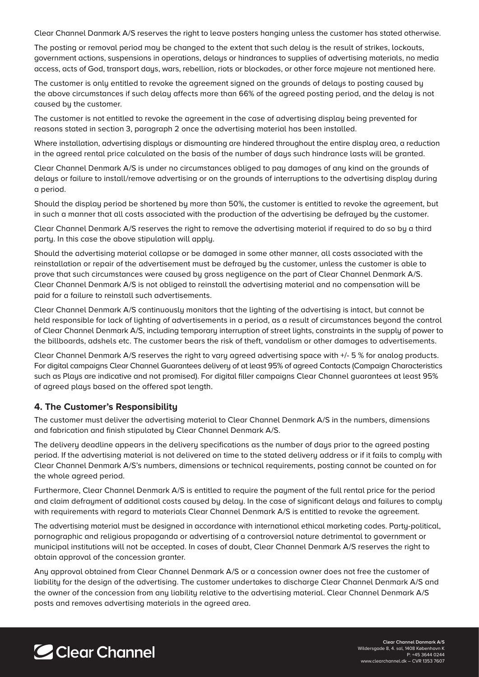Clear Channel Danmark A/S reserves the right to leave posters hanging unless the customer has stated otherwise.

The posting or removal period may be changed to the extent that such delay is the result of strikes, lockouts, government actions, suspensions in operations, delays or hindrances to supplies of advertising materials, no media access, acts of God, transport days, wars, rebellion, riots or blockades, or other force majeure not mentioned here.

The customer is only entitled to revoke the agreement signed on the grounds of delays to posting caused by the above circumstances if such delay affects more than 66% of the agreed posting period, and the delay is not caused by the customer.

The customer is not entitled to revoke the agreement in the case of advertising display being prevented for reasons stated in section 3, paragraph 2 once the advertising material has been installed.

Where installation, advertising displays or dismounting are hindered throughout the entire display area, a reduction in the agreed rental price calculated on the basis of the number of days such hindrance lasts will be granted.

Clear Channel Denmark A/S is under no circumstances obliged to pay damages of any kind on the grounds of delays or failure to install/remove advertising or on the grounds of interruptions to the advertising display during a period.

Should the display period be shortened by more than 50%, the customer is entitled to revoke the agreement, but in such a manner that all costs associated with the production of the advertising be defrayed by the customer.

Clear Channel Denmark A/S reserves the right to remove the advertising material if required to do so by a third party. In this case the above stipulation will apply.

Should the advertising material collapse or be damaged in some other manner, all costs associated with the reinstallation or repair of the advertisement must be defrayed by the customer, unless the customer is able to prove that such circumstances were caused by gross negligence on the part of Clear Channel Denmark A/S. Clear Channel Denmark A/S is not obliged to reinstall the advertising material and no compensation will be paid for a failure to reinstall such advertisements.

Clear Channel Denmark A/S continuously monitors that the lighting of the advertising is intact, but cannot be held responsible for lack of lighting of advertisements in a period, as a result of circumstances beyond the control of Clear Channel Denmark A/S, including temporary interruption of street lights, constraints in the supply of power to the billboards, adshels etc. The customer bears the risk of theft, vandalism or other damages to advertisements.

Clear Channel Denmark A/S reserves the right to vary agreed advertising space with +/- 5 % for analog products. For digital campaigns Clear Channel Guarantees delivery of at least 95% of agreed Contacts (Campaign Characteristics such as Plays are indicative and not promised). For digital filler campaigns Clear Channel guarantees at least 95% of agreed plays based on the offered spot length.

#### **4. The Customer's Responsibility**

The customer must deliver the advertising material to Clear Channel Denmark A/S in the numbers, dimensions and fabrication and finish stipulated by Clear Channel Denmark A/S.

The delivery deadline appears in the delivery specifications as the number of days prior to the agreed posting period. If the advertising material is not delivered on time to the stated delivery address or if it fails to comply with Clear Channel Denmark A/S's numbers, dimensions or technical requirements, posting cannot be counted on for the whole agreed period.

Furthermore, Clear Channel Denmark A/S is entitled to require the payment of the full rental price for the period and claim defrayment of additional costs caused by delay. In the case of significant delays and failures to comply with requirements with regard to materials Clear Channel Denmark A/S is entitled to revoke the agreement.

The advertising material must be designed in accordance with international ethical marketing codes. Party-political, pornographic and religious propaganda or advertising of a controversial nature detrimental to government or municipal institutions will not be accepted. In cases of doubt, Clear Channel Denmark A/S reserves the right to obtain approval of the concession granter.

Any approval obtained from Clear Channel Denmark A/S or a concession owner does not free the customer of liability for the design of the advertising. The customer undertakes to discharge Clear Channel Denmark A/S and the owner of the concession from any liability relative to the advertising material. Clear Channel Denmark A/S posts and removes advertising materials in the agreed area.

# C Clear Channel

**Clear Channel Danmark A/S** Wildersgade 8, 4. sal, 1408 København K P: +45 3644 0244 www.clearchannel.dk – CVR 1353 7607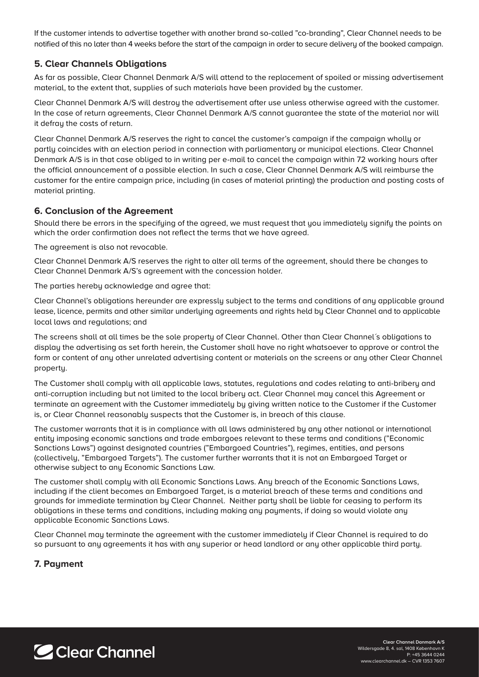If the customer intends to advertise together with another brand so-called "co-branding", Clear Channel needs to be notified of this no later than 4 weeks before the start of the campaign in order to secure delivery of the booked campaign.

### **5. Clear Channels Obligations**

As far as possible, Clear Channel Denmark A/S will attend to the replacement of spoiled or missing advertisement material, to the extent that, supplies of such materials have been provided by the customer.

Clear Channel Denmark A/S will destroy the advertisement after use unless otherwise agreed with the customer. In the case of return agreements, Clear Channel Denmark A/S cannot guarantee the state of the material nor will it defray the costs of return.

Clear Channel Denmark A/S reserves the right to cancel the customer's campaign if the campaign wholly or partly coincides with an election period in connection with parliamentary or municipal elections. Clear Channel Denmark A/S is in that case obliged to in writing per e-mail to cancel the campaign within 72 working hours after the official announcement of a possible election. In such a case, Clear Channel Denmark A/S will reimburse the customer for the entire campaign price, including (in cases of material printing) the production and posting costs of material printing.

#### **6. Conclusion of the Agreement**

Should there be errors in the specifying of the agreed, we must request that you immediately signify the points on which the order confirmation does not reflect the terms that we have agreed.

The agreement is also not revocable.

Clear Channel Denmark A/S reserves the right to alter all terms of the agreement, should there be changes to Clear Channel Denmark A/S's agreement with the concession holder.

The parties hereby acknowledge and agree that:

Clear Channel's obligations hereunder are expressly subject to the terms and conditions of any applicable ground lease, licence, permits and other similar underlying agreements and rights held by Clear Channel and to applicable local laws and regulations; and

The screens shall at all times be the sole property of Clear Channel. Other than Clear Channel´s obligations to display the advertising as set forth herein, the Customer shall have no right whatsoever to approve or control the form or content of any other unrelated advertising content or materials on the screens or any other Clear Channel property.

The Customer shall comply with all applicable laws, statutes, regulations and codes relating to anti-bribery and anti-corruption including but not limited to the local bribery act. Clear Channel may cancel this Agreement or terminate an agreement with the Customer immediately by giving written notice to the Customer if the Customer is, or Clear Channel reasonably suspects that the Customer is, in breach of this clause.

The customer warrants that it is in compliance with all laws administered by any other national or international entity imposing economic sanctions and trade embargoes relevant to these terms and conditions ("Economic Sanctions Laws") against designated countries ("Embargoed Countries"), regimes, entities, and persons (collectively, "Embargoed Targets"). The customer further warrants that it is not an Embargoed Target or otherwise subject to any Economic Sanctions Law.

The customer shall comply with all Economic Sanctions Laws. Any breach of the Economic Sanctions Laws, including if the client becomes an Embargoed Target, is a material breach of these terms and conditions and grounds for immediate termination by Clear Channel. Neither party shall be liable for ceasing to perform its obligations in these terms and conditions, including making any payments, if doing so would violate any applicable Economic Sanctions Laws.

Clear Channel may terminate the agreement with the customer immediately if Clear Channel is required to do so pursuant to any agreements it has with any superior or head landlord or any other applicable third party.

### **7. Payment**

C Clear Channel